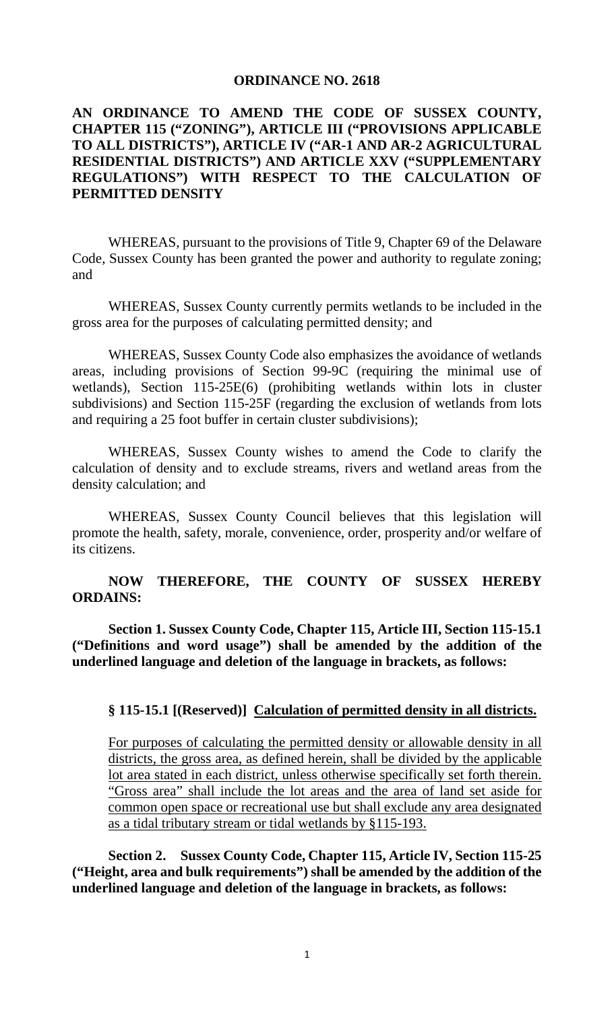#### **ORDINANCE NO. 2618**

## **AN ORDINANCE TO AMEND THE CODE OF SUSSEX COUNTY, CHAPTER 115 ("ZONING"), ARTICLE III ("PROVISIONS APPLICABLE TO ALL DISTRICTS"), ARTICLE IV ("AR-1 AND AR-2 AGRICULTURAL RESIDENTIAL DISTRICTS") AND ARTICLE XXV ("SUPPLEMENTARY REGULATIONS") WITH RESPECT TO THE CALCULATION OF PERMITTED DENSITY**

WHEREAS, pursuant to the provisions of Title 9, Chapter 69 of the Delaware Code, Sussex County has been granted the power and authority to regulate zoning; and

WHEREAS, Sussex County currently permits wetlands to be included in the gross area for the purposes of calculating permitted density; and

WHEREAS, Sussex County Code also emphasizes the avoidance of wetlands areas, including provisions of Section 99-9C (requiring the minimal use of wetlands), Section 115-25E(6) (prohibiting wetlands within lots in cluster subdivisions) and Section 115-25F (regarding the exclusion of wetlands from lots and requiring a 25 foot buffer in certain cluster subdivisions);

WHEREAS, Sussex County wishes to amend the Code to clarify the calculation of density and to exclude streams, rivers and wetland areas from the density calculation; and

WHEREAS, Sussex County Council believes that this legislation will promote the health, safety, morale, convenience, order, prosperity and/or welfare of its citizens.

### **NOW THEREFORE, THE COUNTY OF SUSSEX HEREBY ORDAINS:**

**Section 1. Sussex County Code, Chapter 115, Article III, Section 115-15.1 ("Definitions and word usage") shall be amended by the addition of the underlined language and deletion of the language in brackets, as follows:**

#### **§ 115-15.1 [(Reserved)] Calculation of permitted density in all districts.**

For purposes of calculating the permitted density or allowable density in all districts, the gross area, as defined herein, shall be divided by the applicable lot area stated in each district, unless otherwise specifically set forth therein. "Gross area" shall include the lot areas and the area of land set aside for common open space or recreational use but shall exclude any area designated as a tidal tributary stream or tidal wetlands by §115-193.

**Section 2. Sussex County Code, Chapter 115, Article IV, Section 115-25 ("Height, area and bulk requirements") shall be amended by the addition of the underlined language and deletion of the language in brackets, as follows:**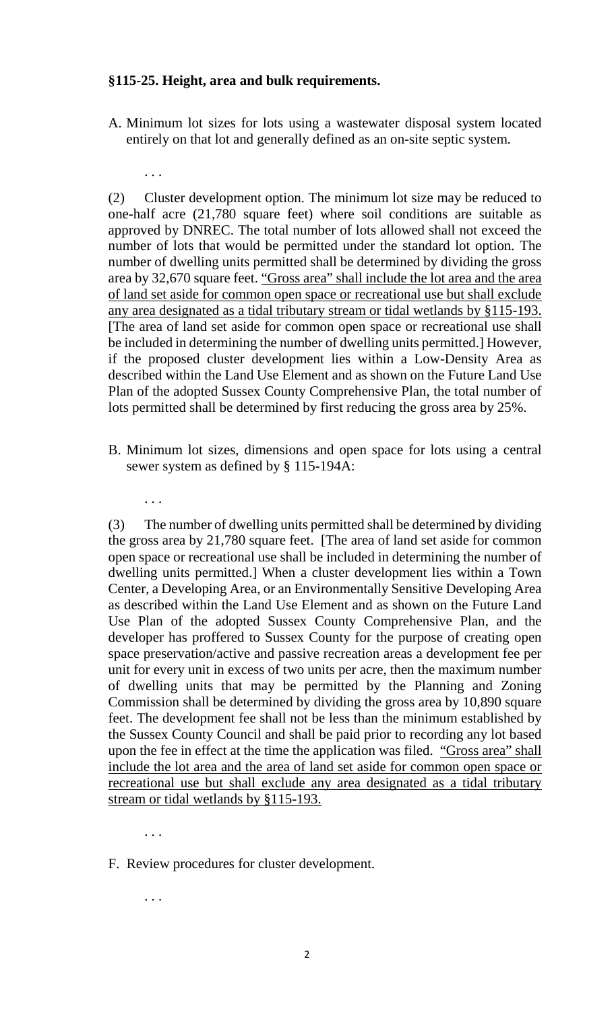### **§115-25. Height, area and bulk requirements.**

. . .

. . .

A. Minimum lot sizes for lots using a wastewater disposal system located entirely on that lot and generally defined as an on-site septic system.

(2) Cluster development option. The minimum lot size may be reduced to one-half acre (21,780 square feet) where soil conditions are suitable as approved by DNREC. The total number of lots allowed shall not exceed the number of lots that would be permitted under the standard lot option. The number of dwelling units permitted shall be determined by dividing the gross area by 32,670 square feet. "Gross area" shall include the lot area and the area of land set aside for common open space or recreational use but shall exclude any area designated as a tidal tributary stream or tidal wetlands by §115-193. [The area of land set aside for common open space or recreational use shall be included in determining the number of dwelling units permitted.] However, if the proposed cluster development lies within a Low-Density Area as described within the Land Use Element and as shown on the Future Land Use Plan of the adopted Sussex County Comprehensive Plan, the total number of lots permitted shall be determined by first reducing the gross area by 25%.

B. Minimum lot sizes, dimensions and open space for lots using a central sewer system as defined by § 115-194A:

(3) The number of dwelling units permitted shall be determined by dividing the gross area by 21,780 square feet. [The area of land set aside for common open space or recreational use shall be included in determining the number of dwelling units permitted.] When a cluster development lies within a Town Center, a Developing Area, or an Environmentally Sensitive Developing Area as described within the Land Use Element and as shown on the Future Land Use Plan of the adopted Sussex County Comprehensive Plan, and the developer has proffered to Sussex County for the purpose of creating open space preservation/active and passive recreation areas a development fee per unit for every unit in excess of two units per acre, then the maximum number of dwelling units that may be permitted by the Planning and Zoning Commission shall be determined by dividing the gross area by 10,890 square feet. The development fee shall not be less than the minimum established by the Sussex County Council and shall be paid prior to recording any lot based upon the fee in effect at the time the application was filed. "Gross area" shall include the lot area and the area of land set aside for common open space or recreational use but shall exclude any area designated as a tidal tributary stream or tidal wetlands by §115-193.

. . .

F. Review procedures for cluster development.

. . .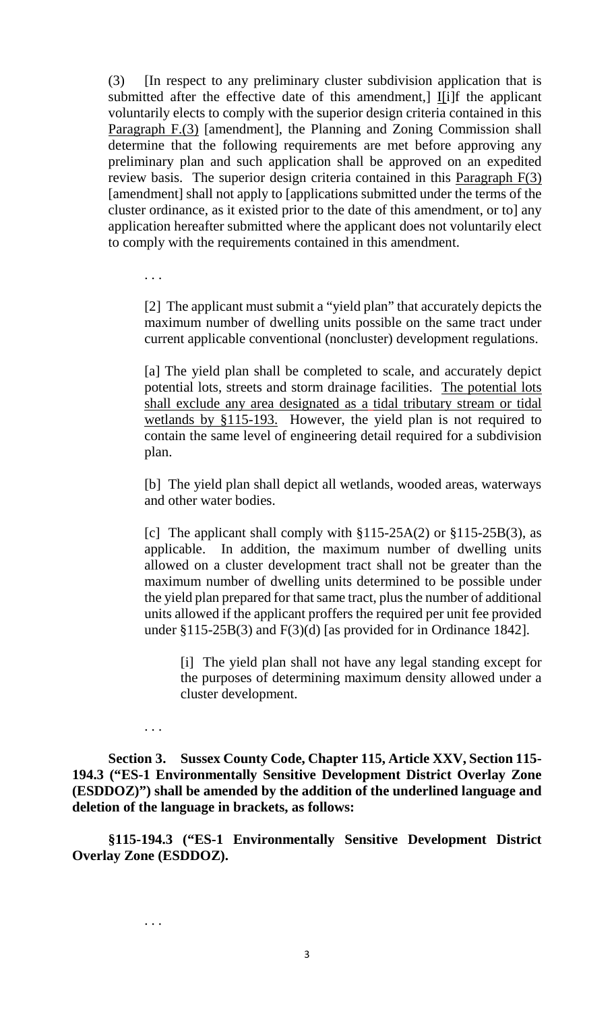(3) [In respect to any preliminary cluster subdivision application that is submitted after the effective date of this amendment, I I[i]f the applicant voluntarily elects to comply with the superior design criteria contained in this Paragraph F.(3) [amendment], the Planning and Zoning Commission shall determine that the following requirements are met before approving any preliminary plan and such application shall be approved on an expedited review basis. The superior design criteria contained in this Paragraph  $F(3)$ [amendment] shall not apply to [applications submitted under the terms of the cluster ordinance, as it existed prior to the date of this amendment, or to] any application hereafter submitted where the applicant does not voluntarily elect to comply with the requirements contained in this amendment.

. . .

[2] The applicant must submit a "yield plan" that accurately depicts the maximum number of dwelling units possible on the same tract under current applicable conventional (noncluster) development regulations.

[a] The yield plan shall be completed to scale, and accurately depict potential lots, streets and storm drainage facilities. The potential lots shall exclude any area designated as a tidal tributary stream or tidal wetlands by §115-193. However, the yield plan is not required to contain the same level of engineering detail required for a subdivision plan.

[b] The yield plan shall depict all wetlands, wooded areas, waterways and other water bodies.

[c] The applicant shall comply with  $\S115-25A(2)$  or  $\S115-25B(3)$ , as applicable. In addition, the maximum number of dwelling units allowed on a cluster development tract shall not be greater than the maximum number of dwelling units determined to be possible under the yield plan prepared for that same tract, plus the number of additional units allowed if the applicant proffers the required per unit fee provided under §115-25B(3) and F(3)(d) [as provided for in Ordinance 1842].

[i] The yield plan shall not have any legal standing except for the purposes of determining maximum density allowed under a cluster development.

. . .

. . .

**Section 3. Sussex County Code, Chapter 115, Article XXV, Section 115- 194.3 ("ES-1 Environmentally Sensitive Development District Overlay Zone (ESDDOZ)") shall be amended by the addition of the underlined language and deletion of the language in brackets, as follows:**

**§115-194.3 ("ES-1 Environmentally Sensitive Development District Overlay Zone (ESDDOZ).**